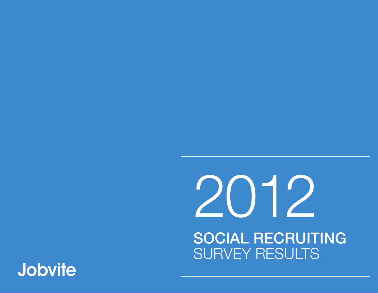### **Jobvite**

# 2012 SOCIAL RECRUITING SURVEY RESULTS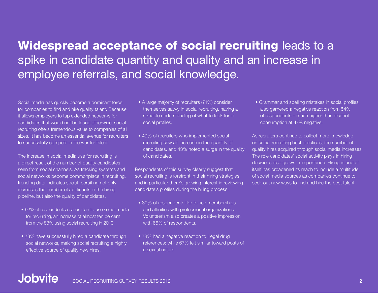#### Widespread acceptance of social recruiting leads to a spike in candidate quantity and quality and an increase in employee referrals, and social knowledge.

Social media has quickly become a dominant force for companies to find and hire quality talent. Because it allows employers to tap extended networks for candidates that would not be found otherwise, social recruiting offers tremendous value to companies of all sizes. It has become an essential avenue for recruiters to successfully compete in the war for talent.

The increase in social media use for recruiting is a direct result of the number of quality candidates seen from social channels. As tracking systems and social networks become commonplace in recruiting, trending data indicates social recruiting not only increases the number of applicants in the hiring pipeline, but also the quality of candidates.

- 92% of respondents use or plan to use social media for recruiting, an increase of almost ten percent from the 83% using social recruiting in 2010.
- 73% have successfully hired a candidate through social networks, making social recruiting a highly effective source of quality new hires.
- A large majority of recruiters (71%) consider themselves savvy in social recruiting, having a sizeable understanding of what to look for in social profiles.
- 49% of recruiters who implemented social recruiting saw an increase in the quantity of candidates, and 43% noted a surge in the quality of candidates.

Respondents of this survey clearly suggest that social recruiting is forefront in their hiring strategies, and in particular there's growing interest in reviewing candidate's profiles during the hiring process.

- 80% of respondents like to see memberships and affinities with professional organizations. Volunteerism also creates a positive impression with 66% of respondents.
- 78% had a negative reaction to illegal drug references; while 67% felt similar toward posts of a sexual nature.

• Grammar and spelling mistakes in social profiles also garnered a negative reaction from 54% of respondents – much higher than alcohol consumption at 47% negative.

As recruiters continue to collect more knowledge on social recruiting best practices, the number of quality hires acquired through social media increases. The role candidates' social activity plays in hiring decisions also grows in importance. Hiring in and of itself has broadened its reach to include a multitude of social media sources as companies continue to seek out new ways to find and hire the best talent.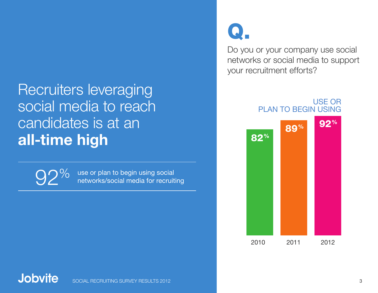### Recruiters leveraging social media to reach candidates is at an **all-time high**

use or plan to begin using social<br>networks/social media for recruiting

# Q.

Do you or your company use social networks or social media to support your recruitment efforts?

> USE OR PLAN TO BEGIN USING

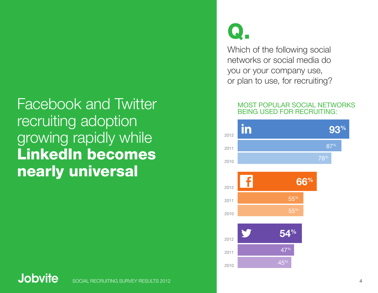### Facebook and Twitter recruiting adoption growing rapidly while LinkedIn becomes nearly universal

# Q.

Which of the following social networks or social media do you or your company use, or plan to use, for recruiting?

#### MOST POPULAR SOCIAL NETWORKS BEING USED FOR RECRUITING:

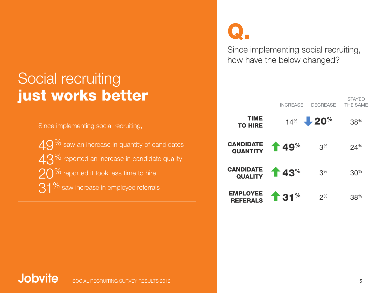#### Social recruiting just works better

Since implementing social recruiting,  $49\%$  saw an increase in quantity of candidates  $43^{\%}$  reported an increase in candidate quality  $20\%$  reported it took less time to hire 31% saw increase in employee referrals

Q.

Since implementing social recruiting, how have the below changed?



#### **Jobvite** SOCIAL RECRUITING SURVEY RESULTS 2012 **5 SECOND 1999 STATES AND RELATIVE STATES AND RELATIVE STATES AND RELATIVE**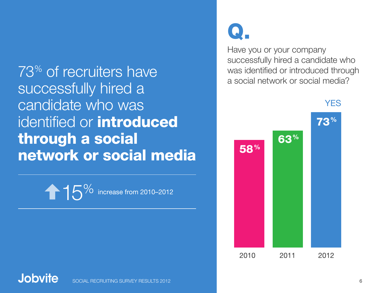73% of recruiters have successfully hired a candidate who was identified or **introduced** through a social network or social media

15<sup>%</sup> increase from 2010–2012

# Q.

Have you or your company successfully hired a candidate who was identified or introduced through a social network or social media?



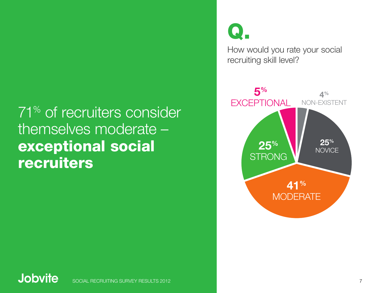### 71% of recruiters consider themselves moderate – exceptional social recruiters

Q.

How would you rate your social recruiting skill level?



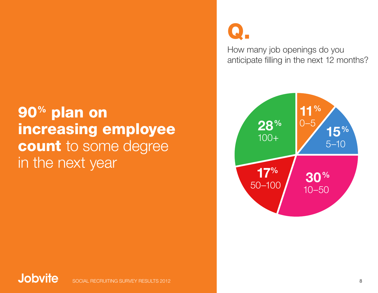### 90% plan on increasing employee count to some degree in the next year

# Q.

How many job openings do you anticipate filling in the next 12 months?



#### **Jobvite** SOCIAL RECRUITING SURVEY RESULTS 2012 8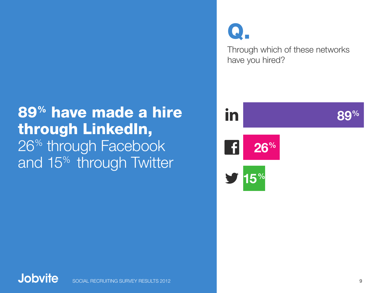### 89% have made a hire through LinkedIn, 26<sup>%</sup> through Facebook and 15<sup>%</sup> through Twitter

Through which of these networks have you hired? Q.

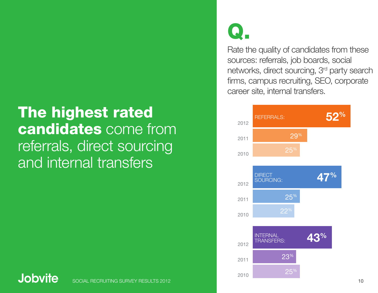### The highest rated candidates come from referrals, direct sourcing and internal transfers

#### **Jobvite**

# Q.

Rate the quality of candidates from these sources: referrals, job boards, social networks, direct sourcing, 3rd party search firms, campus recruiting, SEO, corporate career site, internal transfers.

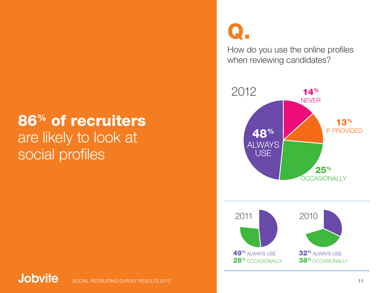### 86% of recruiters are likely to look at social profiles

# Q.

How do you use the online profiles when reviewing candidates?

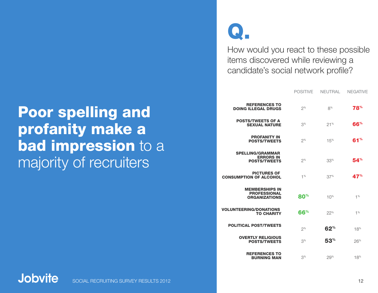#### Poor spelling and profanity make a bad impression to a majority of recruiters

# Q.

How would you react to these possible items discovered while reviewing a candidate's social network profile?

POSITIVE NEUTRAL NEGATIVE

| <b>REFERENCES TO</b><br><b>DOING ILLEGAL DRUGS</b>                   | $2^{\%}$        | 8%           | <b>78%</b> |
|----------------------------------------------------------------------|-----------------|--------------|------------|
| <b>POSTS/TWEETS OF A</b><br><b>SEXUAL NATURE</b>                     | 3 <sup>%</sup>  | 21%          | 66%        |
| <b>PROFANITY IN</b><br><b>POSTS/TWEETS</b>                           | $2^{\%}$        | 15%          | 61%        |
| <b>SPELLING/GRAMMAR</b><br><b>ERRORS IN</b><br><b>POSTS/TWEETS</b>   | $2^{\%}$        | 33%          | 54%        |
| <b>PICTURES OF</b><br><b>CONSUMPTION OF ALCOHOL</b>                  | 1%              | 37%          | 47%        |
| <b>MEMBERSHIPS IN</b><br><b>PROFESSIONAL</b><br><b>ORGANIZATIONS</b> | 80 <sup>%</sup> | $10\%$       | 1%         |
| <b>VOLUNTEERING/DONATIONS</b><br><b>TO CHARITY</b>                   | 66%             | 22%          | 1%         |
| <b>POLITICAL POST/TWEETS</b>                                         | 2%              | $62^{\circ}$ | 18%        |
| <b>OVERTLY RELIGIOUS</b><br><b>POSTS/TWEETS</b>                      | 3 <sup>%</sup>  | $53^{\circ}$ | 26%        |
| <b>REFERENCES TO</b><br><b>BURNING MAN</b>                           | 3 <sup>%</sup>  | 29%          | 18%        |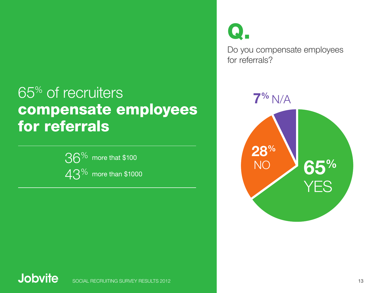#### **7%** N/A 65% of recruiters compensate employees for referrals

$$
36^{\%}
$$
 more that \$100  
43<sup>%</sup> more than \$1000

Q.

Do you compensate employees for referrals?



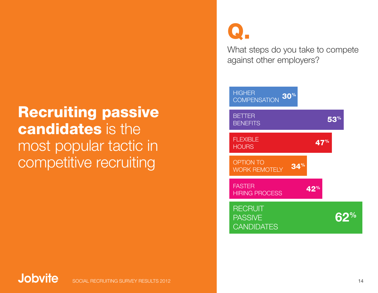### Recruiting passive candidates is the most popular tactic in competitive recruiting

Q.

What steps do you take to compete against other employers?